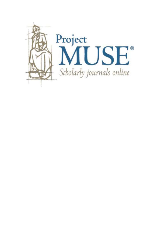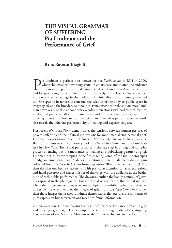## **THE VISUAL GRAMMAR OF SUFFERING Pia Lindman and the Performance of Grief**

## **Kriss Ravetto-Biagioli**

**P**ia Lindman is perhaps best known for her *Public Sauna* at P.S.1 in 2000, where she installed a working sauna in an artspace and invited the audience to join in the performance, defying the taboo of nudity in American c where she installed a working sauna in an artspace and invited the audience to join in the performance, defying the taboo of nudity in American culture and foregrounding the centrality of the human body in art. Like *Public Sauna,* her more recent work belongs in the tradition of minimalist and community-oriented art. Site-specific in nature, it concerns the relation of the body to public space in everyday life and the broader socio-political issues inscribed in those dynamics. Lindman provokes us to think about how everyday interactions with bodies, architecture, media, and public art affect our sense of self and our experience of social space. By drawing attention to how social interactions are themselves performative, her work also reveals the inherent performativity of making and experiencing art.

Her recent *New York Times* demonstrates the tensions between human gestures of private suffering and the political motivations for monumentalizing personal grief. Lindman has performed *New York Times* in Mexico City, Tokyo, Helsinki, Vienna, Berlin, and most recently at Battery Park, the Vera List Center, and the Luxe Gallery in New York. The actual performance is the last step in a long and complex process of tracing out the mechanics of making and publicizing gestures of grief. Lindman begins by videotaping herself re-enacting some of the 600 photographs of Afghan, American, Iraqi, Sudanese, Palestinian, Israeli, Balinese bodies in pain collected from *The New York Times* from September 2002 to September 2003. She then sketches out her re-enactments (with particular attention to facial expressions and hand gestures) and shares this set of drawings with the audience at the beginning of each public performance. The drawings outline the bodily gestures of grieving captured in the photographs*,* but are devoid of any feature that would indicate where the image comes from, or whom it depicts. By exhibiting her own sketches of her own re-enactments of the images of grief from *The New York Times* rather than those images themselves, Lindman demonstrates that gestures are not forms of pure expression but interpretations meant to frame information.

On one occasion, Lindman begins her *New York Times* performance dressed in gray and carrying a gray flag to lead a group of spectators through Battery Park, stopping first in front of the National Museum of the American Indian. At the foot of the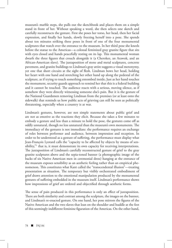museum's marble steps, she pulls out the sketchbook and places them on a simple stand in front of her. Without speaking a word, she then selects one sketch and carefully reconstructs the gesture. First she poses her torso, her head, then her facial expression, and finally her hands, slowly freezing herself into a pose. She spends about ten minutes striking three poses in front of one of the four monumental sculptures that watch over the entrance to the museum. In her third pose she kneels before the statue to the Americas—a colossal feminized gray granite figure that sits with eyes closed and hands peacefully resting on its lap. This monumental woman dwarfs the three figures that crouch alongside it (a Cherokee, an Arawok, and an African-American slave). The juxtaposition of stone and metal sculptures, concrete pavement, and granite buildings to Lindman's gray attire suggests a visual metonymy, yet one that short circuits at the sight of flesh. Lindman bows her head, holding her heart with one hand and stretching her other hand up along the pedestal of the sculpture, as if trying to touch something entombed inside**.** Just as her hand touches the monument, security guards approach to remind her that this is a federal building and it cannot be touched. The audience reacts with a serious, moving silence, as if somehow they were directly witnessing someone else's pain. But it is the gesture of the National Guardsmen removing Lindman from the premises (or at least onto the sidewalk) that reminds us how public acts of grieving can still be seen as politically threatening, especially when a country is at war.

Lindman's gestures, however, are not simple statements about public grief and are not as emotive as the reactions they elicit. Because she takes a few minutes to embody a gesture and less than a minute to hold the pose, the gestures come off as oddly unnatural, though no less unnatural than the museum's own monuments. The immediacy of the gestures is not immediate: the performance requires an exchange of roles between performer and audience, between impression and reception. In order to be understood as a gesture of suffering, the performance must display what Jean-François Lyotard calls the "capacity to be affected by objects by means of sensibility,"<sup>1</sup> that is, it must demonstrate its own capacity for receiving interpretations. The juxtaposition of Lindman's carefully reconstructed gesture of grief to the gray granite sculptures above and the sepia-toned banner (a photographic image of the backs of six Native American men in ceremonial dress) hanging at the entrance of the museum exposes sensibility as an aesthetic feeling rather than an empirical phenomenon. This constitutes what Kant called the "transcendental illusion"—treating presentation as situation. The temporary but visibly orchestrated embodiment of grief draws attention to the emotional manipulation produced by the monumental gestures of suffering embedded in the museum itself. Lindman's performance shows how impressions of grief are ordered and objectified through aesthetic forms.

The sense of pain produced in this performance is only an effect of juxtaposition. There are both similarity and contrast among the sculpture, the images on the banner, and Lindman's re-enacted gesture. On one hand, her pose mirrors the figures of the Native American and the two slaves that lean on the shoulder and huddle at the feet of this seemingly indifferent feminine figuration of the Americas. On the other hand,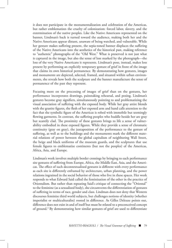it does not participate in the monumentalization and celebration of the Americas, but rather emblematizes the cruelty of colonization: forced labor, slavery, and the extermination of the native peoples. Like the Native Americans represented on the banner, Lindman's back is turned toward the audience, making both her and the Native Americans appear distant, unaware of being watched, and vulnerable. While her gesture makes suffering present, the sepia-toned banner displaces the suffering of the Native Americans into the aesthetics of the historical past, making reference to "authentic" photographs of the "Old West." What is preserved is not just what is captured in the image, but also the sense of loss marked by the photograph—the loss of the very Native Americans it represents. Lindman's pose, instead, makes loss present by performing an explicitly temporary gesture of grief in front of the image that claims its own historical permanence. By demonstrating how gestures, images and monuments are depicted, selected, framed, and situated within urban environments, she reveals how both the sculpture and the banner manufacture the sense of permanence of the past they represent.

Focusing more on the processing of images of grief than on the gestures, her performance incorporates drawings, painstaking rehearsal, and posing. Lindman's gestures become gray signifiers, simultaneously pointing to and problematizing the visual association of suffering with the exposed body. While her gray attire blends with the granite figures, the flesh of her exposed arm and hand calls attention to the fact that the symbolic figure of the Americas is robed with immobile but seemingly flowing garments. In contrast, the suffering peoples who huddle beside her are gray but scantily clad. The proximity of these gestures brings to life a sense of vulnerability embodied in these exposed figures. While they provide a sense of chromatic continuity (gray on gray), the juxtaposition of the performance to the gesture of suffering, as well as to the buildings and the monuments mark the different material relations of power between the global capitalism of neighboring Wall Street, the beige and black uniforms of the museum guards, and the sculptures that use female figures to emblematize continents (but not the peoples) of the Americas, Africa, Asia, and Europe.

Lindman's work involves multiple border crossings by bringing to each performance site gestures of suffering from Europe, Africa, the Middle East, Asia, and the Americas. The effect of such decontextualized gestures is different with every performance as each site is differently enframed by architecture, urban planning, and the power relations ingrained in the social behavior of those who live in these spaces. Her work responds to what Edward Said called the feminization of the other in the practice of Orientalism. But rather than repeating Said's critique of connecting the "Oriental" to the feminine (as a sexualized body), she circumvents the differentiation of gestures of suffering in terms of race, gender and class. Lindman does not deny that Western discourses feminize third world subjects, but challenges notions of identity (whether imperialist or multiculturalist) rooted in difference. As Gilles Deleuze points out, difference does not exist in and of itself but must be related to a preconceived concept of ground.<sup>2</sup> By demonstrating how similar gestures of grief are used to differentiate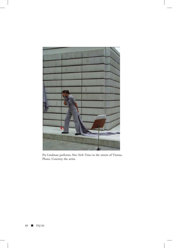

Pia Lindman performs *New York Times* in the streets of Vienna. Photo: Courtesy the artist.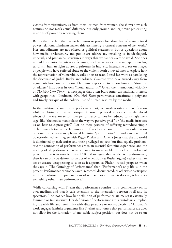victims from victimizers, us from them, or men from women, she shows how such gestures do not mark actual difference but only ground and legitimize pre-existing relations of power by repeating them.

Rather than declare there is no feminism or post-colonialism free of asymmetrical power relations, Lindman makes this asymmetry a central concern of her work.<sup>3</sup> Her embodiments are not offered as political statements, but as questions about how media, architecture, and public art address us, installing us in ideological, imperial, and patriarchal structures in ways that we cannot avert or avoid. She does not address particular site-specific issues, such as genocide or mass rape in Sudan, terrorism, human rights abuses of prisoners in Iraq, etc. Instead she draws on images of people who have suffered abuse or the violent death of loved ones to explore how the representation of vulnerability calls on us to react. I read her work as paralleling the discourse of Judith Butler and Adriana Cavarero who have turned away from arguments based on the notion of feminine experience to explore how any "structure of address" introduces its own "moral authority."<sup>4</sup> Given the international visibility of *The New York Times*—a newspaper that often blurs American national interests with geopolitics—Lindman's *New York Times* performance constitutes a poignant and timely critique of the political use of human gestures by the media.<sup>5</sup>

In the tradition of minimalist performance art, her work resists commodification while exhibiting a nuanced critique of current political issues such as the global effects of the war on terror. Her performance cannot be reduced to a single message, like "the media manipulates the way we perceive grief" or "the media instructs us on how to express grief." Nor do these gestures of suffering reproduce simple dichotomies between the feminization of grief as opposed to the masculinization of power, or between an ephemeral feminine "performative" art and a masculinized object-oriented art. I agree with Peggy Phelan and Amelia Jones that the art world is dominated by male artists and their privileged objects, but find equally problematic the connection of performance art to an essential feminine experience, and the reading of all performance as an attempt to make visible the radical ontology of presence, that is in turn feminized.<sup>6</sup> But if we agree that gender is a performance, then it can only be defined as an act of repetition (as Butler argues) rather than an act of erasure disappearing as soon as it appears, as Phelan instead proposes when she says in "The Ontology of Performance" that: "Performance's only life is in the present. Performance cannot be saved, recorded, documented, or otherwise participate in the circulation of representations of representations: once it does so, it becomes something other than performance."7

While concurring with Phelan that performance consists in its commentary on its own medium and that it calls attention to the interaction between itself and its spectators, I do not see how her definition of performance art makes it essentially feminine or transgressive. Her definition of performance art is tautological, replacing art with life and femininity with disappearance or non-subjectivity.8 Lindman's work engages feminist arguments like Phelan's and Jones's that performance art does not allow for the formation of any stable subject position, but does not do so on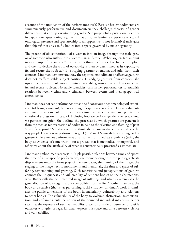account of the uniqueness of the performance itself. Because her embodiments are simultaneously performative and documentary, they challenge theories of gender differences that end up essentializing gender. She purposefully puts sexual identity in a gray zone, questioning arguments that attribute feminine experience to radical ontological presence and spectatorship to an oppressive (if not formative) male gaze that objectifies it so as to fix bodies into a space governed by male hegemony.

The process of objectification—of a woman into an image through the male gaze, or of someone who suffers into a victim—is, as Samuel Weber argues, tantamount to an attempt of the subject "to set or bring things before itself to fix them in place and then to declare the truth of objectivity is thereby determined as its capacity to fix and secure the subject."<sup>9</sup> By stripping gestures of trauma and grief from their contexts, Lindman demonstrates how the repeated embodiment of affective gestures does not reaffirm stable subject positions. Dislodging gestures from contexts, she upsets the translation of emotions into identifiable gestures; into a telos designed to fix and secure subjects. No stable identities form in her performances to establish relations between victims and victimizers, between events and their geopolitical consequences.

Lindman does not see performance art as a self-conscious phenomenological experience (of being a woman), but as a coding of experience as affect. Her embodiments examine the various political investments inscribed in visualizing and publicizing emotional expression. Instead of disclosing how we perform gender, she reveals how we perform our grief. She outlines the processes by which gestures are generated: from the media's representation of bodies in pain to the selection and framing of pain "that's fit to print." She also asks us to think about how media aesthetics affects the way people learn how to perform their grief (as Marcel Mauss did concerning bodily gestures). Hers are not performances of an authentic immediate experience (using the body as evidence of some truth), but a process that is methodical, thoughtful, and reflective about the artificiality of what is conventionally presented as immediate.

Lindman's embodiments express multiple possible relations between time and space: the time of a site-specific performance, the moment caught in the photograph, its displacement onto the front page of the newspaper, the framing of the image, the staging of the image next to monuments and memorials, the time and space of suffering, remembering and grieving. Such repetitions and juxtapositions of gestures connect the uniqueness and vulnerability of sentient bodies to their abstractions, what Butler calls the dehumanized image of suffering, and what Cavarero calls the generalization of ideology that divorces politics from reality.10 Rather than treat the body as discursive (that is, as performing social critique), Lindman's work instantiates the public dimensions of the body, its materiality, vulnerability and relations to other bodies. The vulnerability of the body to violence, abstraction, aestheticization, and enframing puts the notion of the bounded individual into crisis. Butler says that the exposure of such vulnerability places us outside of ourselves or beside ourselves with grief or rage. Lindman exposes this space and time between violence and vulnerability.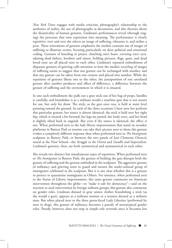*New York Times* engages with media criticism, photography's relationship to the aesthetics of reality, the use of photographs as documents, and also theories about the theatricality of human gestures. Lindman's performances reveal (through staging) the processes that turn expression into meaning. The performance is clearly repetitive: over and over she selects an image of suffering, rehearses it, and strikes a pose. These reiterations of gestures emphasize the media's constant use of images of suffering to illustrate events, focusing particularly on their political and emotional coding. Gestures of kneeling in prayer, clutching one's heart, covering one's eyes, saluting dead fathers, brothers and sisters, holding pictures, flags, guns, and dead loved ones are all placed next to each other. Lindman's repeated embodiment of disparate gestures of grieving calls attention to how the media's recycling of images of suffering seems to suggest that one gesture can be exchanged with another, and that any gesture can be taken from one context and placed into another. While the repetition of gestures likens one to the other, the juxtaposition of one unrelated gesture after another produces and effect of difference, a difference between the gesture of suffering and the environment in which it is situated.

In one such embodiment she pulls out a gray stick out of her bag of props, handles it carefully, and brandishes it as a militant would a machine gun that is not meant for use, but only for show. The stick, as the gun once was, is held at waist level pointing toward the ground. In each of the three occasions I have seen her perform this particular gesture, her stance is almost identical: the stick is held over her right hip, which is rotated a bit forward, her legs are parted, her body erect, and her head is slightly tilted back in anguish. But even if the stance is identical, the effect is not. When performed next to the lady liberty impersonators that stand on wooden platforms in Battery Park so tourists can take their picture next to them this gesture evokes a completely different response then when performed next to *The Immigrants* sculpture in Battery Park, or between the two panels of José Clemente Orozco's mural at the New School—the *Struggle in the Orient* and *Gandhi and Imperialism*. Lindman's gestures, then, are both symmetrical and asymmetrical to each other.

She reveals two distinct but simultaneous types of repetition. When performed next to *The Immigrants* in Battery Park, the gesture of holding the gun disrupts both the gesture of suffering and the gesture embodied in the sculpture. The aggressive gesture of militancy and grieving seem to guard and mourn the multi-cultural group of immigrants celebrated in the sculpture. But it is not clear whether this is a gesture to protect or quarantine immigrants as Others. For instance, when performed next to the Statue of Liberty impersonators, this same gesture comments on American intervention throughout the globe—to "make it safe for democracy"—and on the reaction to such intervention by foreign militant groups; this gesture also comments on gender roles. Lindman dressed in gray unisex clothes brandishing a stick (as she would a gun), appears as a militant woman or a women dressed as a militant man. But when placed next to the three green-faced Lady Liberties (performed by men in drag), this gesture of militancy becomes a parody of stereotypical gender roles. Parody, however, does not stop at simple role reversals since it becomes less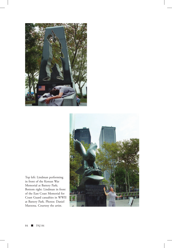



Top left: Lindman performing in front of the Korean War Memorial at Battery Park; Bottom right: Lindman in front of the East Coast Memorial for Coast Guard casualties in WWII at Battery Park. Photos: Daniel Marzona. Courtesy the artist.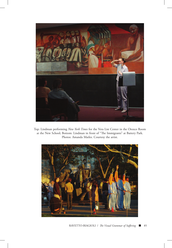

Top: Lindman performing *New York Times* for the Vera List Center in the Orozco Room at the New School; Bottom: Lindman in front of "The Immigrants" at Battery Park. Photos: Amanda Matles. Courtesy the artist.

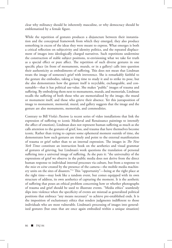clear why militancy should be inherently masculine, or why democracy should be emblematized by a female figure.

While the repetition of gestures produces a disjuncture between their instantiation and the conceptual framework from which they emerged, they also produce something in excess of the ideas they were meant to express. What emerges is both a critical reflection on subjectivity and identity politics, and the repeated displacement of images into ideologically charged narratives. Such repetitions undermine the construction of stable subject positions, re-envisioning what we take for truth as a special effect or pure affect. The repetition of such diverse gestures in one specific place (in front of monuments, murals, or in a gallery) calls into question their authenticity as embodiments of suffering. This does not mean that Lindman treats the image of someone's grief with irreverence. She is remarkably faithful to the gesture she embodies, taking a long time to study it and to strike its pose, but she also demonstrates how the gesture itself is recyclable, exchangeable, and consumable—that it has political use-value. She makes "public" images of trauma and suffering. By embodying them next to monuments, murals, and memorials, Lindman recalls the suffering of both those who are memorialized by the image, the mural or monument itself, and those who grieve their absence. Yet this juxtaposition of image to monument, memorial, mural, and gallery suggests that the image and the gesture are also monuments, memorials, and commodities.

Contrary to Bill Viola's *Passions* (a recent series of video installations that link the expression of suffering to iconic Medieval and Renaissance paintings to intensify the affect of emotion), Lindman does not represent human suffering as much as she calls attention to the gestures of grief, loss, and trauma that have themselves become iconic. Rather than trying to capture some ephemeral moment outside of time, she demonstrates how such gestures are timely and point to the external manifestation of trauma or grief rather than to an internal expression. The images in *The New York Times* constitute an instruction book on the aesthetics and visual grammar of gestures of grieving, but Lindman's work questions the translation of personal suffering into a universal image of suffering. As she puts it: "the universality of the expressions of grief we observe in the public media does not derive from the direct human response to individual internal processes via culture, but from a response to the *mise en scène* created by the presence of the camera—the mobile media machinery units on the sites of disasters."11 This "opportunity"—being at the right place at the right time—may look like a random event, but comes equipped with its own structure of address, its own aesthetics of capturing the moment. It is the aesthetic of suffering that poses an ethical problem concerning how or whether photographs of trauma and grief should be used to illustrate events. "Media ethics" seamlessly slips into violence when the specificity of events are misread as generalized political positions that embrace "any means necessary" to achieve pre-established ends. It is the imposition of exclusionary ethics that renders judgments indifferent to those individuals who are most vulnerable. Lindman's processing of images into generalized gestures (but ones that are once again embodied within a unique situation)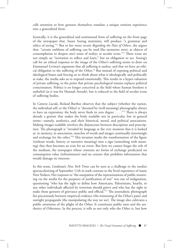calls attention to how gestures themselves translate a unique sentient experience into a generalized form.

Ironically, it is the generalized and sentimental form of suffering on the front page of the newspaper that, Susan Sontag maintains, will produce "a grammar and ethics of seeing."12 But in her more recent *Regarding the Pain of Others*, she argues that: "certain emblems of suffering can be used like memento mori, as objects of contemplation to deepen one's sense of reality; as secular icons."13 These icons are not simply an "invitation to reflect and learn," but an obligation to act. Sontag's call for an ethical response to the image of the Other's suffering seems to draw on Emmanuel Levinas's argument that all suffering is useless, and that we have an ethical obligation to the suffering of the Other.<sup>14</sup> But instead of exposing political and ideological biases and forcing us to think about what is ideologically and politically at stake, the media asks us to respond emotionally. This results in a hyper-valuation of private suffering, to the point that private psychological trauma replaces political consciousness. Politics is no longer conceived as the field where human freedom is unfurled (as it was for Hannah Arendt), but is reduced to the field of secular icons of suffering bodies.

In *Camera Lucida*, Roland Barthes observes that the subject (whether the nation, the individual self, or the Other) is "doomed by (well meaning) photography always to have an expression; the body never finds its zero degree  $\dots$ ."<sup>15</sup> There is always already a gesture that makes the body readable not in particular, but in general terms—namely, aesthetics, and their historical, moral, and political associations. Making images readable involves the disjuncture between description and prescription. The photograph is "invaded by language at the very moment that it is looked at: in memory, in association, snatches of words and images continually intermingle and exchange for the other."16 This invasion marks the transformation of the figure (without words, history or narrative meaning) into a sign (something with meaning) that then becomes an icon for an event. But here we cannot forget the role of the medium, the newspaper whose contents are forms of exchange predicated on consumption value (infotainment) and on censure that prohibits information that would damage its interests.

In this sense, Lindman's *New York Times* can be seen as a challenge to the media's spectacularizing of September 11th in stark contrast to the lived experience of many New Yorkers. Her response to "the usurpation of the representations of public mourning via the media for the purposes of justification of war" was one of indignation, questioning "who has the right to define how Americans, Palestinians, Israelis, or any other individuals affected by terrorism should grieve and who has the right to make those gestures of grievance public and official."17 The journalistic photograph lies precariously between empirical evidence (the witnessing of the Other's pain) and outright propaganda (the manipulating the way we see). The image also cultivates a public awareness of the plight of the Other. It constitutes public taste and the aesthetics of Otherness. In the process, it tells us not only who the Other is, but how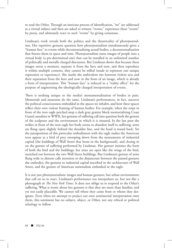to read the Other. Through an intricate process of identification, "we" are addressed as a virtual subject and then are asked to witness "events," experience these "events" by proxy, and ultimately react to such "events" by giving consensus.

Lindman's work reveals both the politics and the theatricality of photojournalism. Her repetitive gestures question how photojournalism simultaneously gives a "human face" to events while decontextualizing actual bodies, a decontextualization that freezes them in space and time. Photojournalism turns images of people into a virtual body (a pre-determined one) that can be installed in an unlimited number of politically and morally charged discourses. But Lindman shows that because these images arrest a moment, separate it from the here and now, and then reproduce it within multiple contexts, they cannot be stilled (made to represent one unique expression or experience). She marks the ambivalent site between violent acts and their separation from the here and now in the form of an image, which is already a form of interpretation. This "human face" is reduced to a "reality effect" for the purpose of augmenting the ideologically charged interpretation of events.

There is nothing unique to the media's monumentalization of bodies in pain. Memorials and museums do the same. Lindman's performances, in fact, uncover the political consciousness embedded in the spaces we inhabit, and how these spaces reflect their own violent framing of human bodies. For example, when she stops in front of the iron eagle perched atop a dark gray granite block memorializing Coast Guard casualties in WWII, her gestures of suffering call into question both the gesture of the sculpture and the environment in which it is situated**.** In the last pose she strikes in front of the iron eagle her body seems to abandon itself to suffering: arms are flung open slightly behind the shoulder line, and the head is tossed back. Yet the juxtaposition of this particular embodiment with the eagle makes the American icon appear as a bird of prey swooping down from the monuments of industrial capital (the buildings of Wall Street that loom in the background), and closing in on the gesture of suffering performed by Lindman. Her gesture imitates the form of both the bird and the buildings: her arms are open like the wings of the bird, stretched out between the two Wall Street buildings. But Lindman's gesture of arms flung wide in distress calls attention to the disjuncture between the pained gestures she embodies, the gestures to industrial capital inscribed in the architecture of Wall Street, and the gesture of American nationalism embodied in the eagle.

It is not just photojournalistic images and human gestures, but urban environments that call on us to react. Lindman's performance too interpolates us, but not like a photograph in *The New York Times*. It does not oblige us to respond to the Other's suffering. What is ironic about her gestures is that they are more than familiar, and yet not easily placeable. We cannot tell where they come from or whom they designate. Even when we attempt to project our own sentimental interpretation onto them, this sentiment has no subject, object, or Other, nor any ethical or political teleology to follow.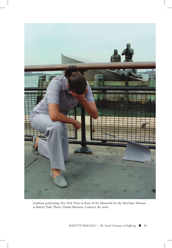

Lindman performing *New York Times* in front of the Memorial for the Merchant Marines at Battery Park. Photo: Daniel Marzona. Courtesy the artist.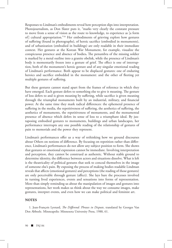Responses to Lindman's embodiments reveal how perception slips into interpretation. Photojournalism, as Don Slater puts it, "marks very clearly the constant pressure to move from a sense of vision as the route to knowledge, to experience as [a form of] cultural appropriation."18 Her embodiments of grieving explore how gestures of suffering (found in photographs), of heroic sacrifice (embodied in monuments), and of urbanization (embodied in buildings) are only readable in their immediate context. Her gestures at the Korean War Monument, for example, visualize the conspicuous presence and absence of bodies**.** The penumbra of the missing soldier is marked by a metal outline into a granite obelisk, while the presence of Lindman's body is momentarily frozen into a gesture of grief. The effect is one of interruption, both of the monument's heroic gesture and of any singular emotional reading of Lindman's performance. Both appear to be displaced gestures: one of enduring heroics and sacrifice embedded in the monument: and the other of fleeting yet multiple gestures of suffering.

But these gestures cannot stand apart from the frames of reference in which they have emerged. Each gesture defers to something else to give it meaning. The gesture of loss defers to and is given meaning by suffering, while sacrifice is given meaning through the triumphal monuments built by an industrial, military, and financial power. At the same time they mark radical differences: the ephemeral presence of suffering in the media, the repetitiveness of suffering, the aesthetics of suffering, the aesthetics of monuments, the repetitiveness of monuments, and the monumental presence of absence which defers its sense of loss to a triumphant ideal. By juxtaposing embodied gestures to monuments, buildings and urban landscapes, her performance interrupts any one possible reading of the relationship of gestures of pain to memorials and the power they represent.

Lindman's performances offer us a way of rethinking how we ground discourses about Others on notions of difference. By focusing on repetition rather than difference, Lindman's performances do not allow any subject position to form. She shows that gestures or emotional expression cannot be immediate. Involving interpretation and perception, they cannot be construed as authentic. Without stable ground to determine identity, the difference between actors and situations dissolve. What is left is the theatricality of political gestures that seek to conceal themselves in the image of someone else's pain. By exposing the process of making bodies readable Lindman reveals that affects (emotional gestures) and perceptions (the reading of those gestures) are only perceivable through gesture (affect). She lays bare the processes involved in turning lived experiences, events and sensations into forms of representation. More than simply reminding us about the manipulation of images and gestures into representations, her work makes us think about the way we consume images, make gestures, interpret events, and even how we can make political and feminist art.

## **NOTES**

1. Jean-François Lyotard, *The Differend: Phrases in Dispute*, translated by Georges Van Den Abbeele. Minneapolis: Minnesota University Press, 1988, 61.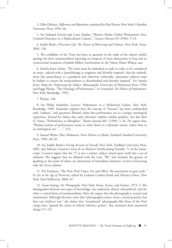2. Gilles Deleuze, *Difference and Repetition*, translated by Paul Patton. New York: Colombia University Press, 1994, 66.

3. See Indrepal Grewal and Caren Kaplin, "Warrior Marks: Global Womanism's Neo-Colonial Discourse in a Multicultural Context." *Camera Obscura* 39 (1996): 5–33.

4. Judith Butler, *Precarious Life: The Powers of Mourning and Violence*. New York: Verso, 2004, 130.

5. The credibility of the *Times* has been in question in the wake of the editors' public apology for their sensationalized reporting on weapons of mass destruction in Iraq and its controversial treatment of Judith Miller's involvement in the Valerie Plame Wilson case.

6. Amelia Jones claims: "The artist must be embodied as male in order to be considered an artist—placed with a (patri)lineage as originary and divinely inspired—but his embodiment (his particularity as a gendered and otherwise vulnerable, immanent subject) must be hidden to ensure his transcendence *as* disembodied and divinely inspired." See Amelia Jones, *Body Art: Performing the Subject*. Minneapolis: University of Minnesota Press, 1998, and Peggy Phelan, "The Ontology of Performance," in *Unmarked: The Politics of Performance*. New York: Routledge, 1993.

7. Phelan, 148.

8. See Philip Auslander, *Liveness: Performance in a Mediatized Culture*. New York: Routledge, 1999. Auslander explores how the concept of "liveness" has been confounded with "realness," and questions Phelan's claim that performance art is a unique ontological experience. Instead he claims that early television exhibits similar qualities. See also Bert O. States, "Performance as Metaphor." *Theatre Journal* 48,1 (1996): 1–26. He argues that: "Phelan's notion of performance seems to come down to a thematic matter, rather than to an ontological one  $\dots$ ." (12).

9. Samuel Weber, *Mass Mediauras: From Technics to Media*. Stanford: Stanford University Press, 1996, 48–49.

10. See Judith Butler's *Giving Account of Oneself*. New York: Fordham University Press, 2005, and Adriana Cavarero's *Scene di un Massacro* (forthcoming Enaudi), 71 of the manuscript. Cavarero argues that the "I" is not a unitary subject closed upon itself, but a set of relations. She suggests that we disband with the term "We" that includes the gesture of speaking in the name of others (an abstraction of immediate relations), in favor of focusing only the I/you relation.

11. Pia Lindman, "The New York Times, Art and Affect: Re-enactments in grey-scale." In *Art in the Age of Terrorism*, edited by Graham Coulter-Smith and Maurice Owen. New York: Paul Holberton, 2006, 87.

12. Susan Sontag, *On Photography*. New York: Farrar, Straus, and Giroux, 1973, 3. She distinguishes between two types of knowledge: one analytical, ethical, and political, and the other a cynical form of sentimentalism. Here she argues that the photograph is cynical and sentimental. Although she later notes that "photographs cannot create a moral position, but they can reinforce one," she claims that "exceptional" photographs like those of the Nazi camps have "gained the status of ethical reference points," that maintain their emotional charge (17–21).